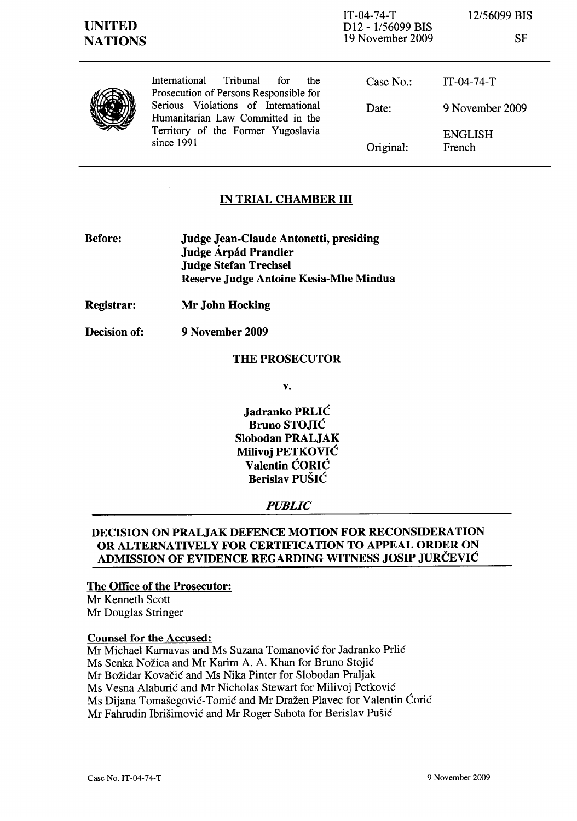SF



International Tribunal for the Prosecution of Persons Responsible for Serious Violations of International Humanitarian Law Committed in the Territory of the Former Yugoslavia since 1991

| Case $No.$ : | $IT-04-74-T$             |
|--------------|--------------------------|
| Date:        | 9 November 2009          |
| Original:    | <b>ENGLISH</b><br>French |

## IN TRIAL CHAMBER III

- Before: Judge Jean-Claude Antonetti, presiding Judge Árpád Prandler Judge Stefan Trechsel Reserve Judge Antoine Kesia-Mbe Mindua
- Registrar: Mr John Hocking
- Decision of: 9 November 2009

## THE PROSECUTOR

v.

Jadranko PRLIC Bruno STOJIC Slobodan PRALJAK Milivoj PETKOVIC Valentin CORIC Berislav PUSIC

## *PUBLIC*

## DECISION ON PRALJAK DEFENCE MOTION FOR RECONSIDERATION OR ALTERNATIVELY FOR CERTIFICATION TO APPEAL ORDER ON ADMISSION OF EVIDENCE REGARDING WITNESS JOSIP JURCEVIC

#### The Office of the Prosecutor:

Mr Kenneth Scott Mr Douglas Stringer

### Counsel for the Accused:

Mr Michael Karnavas and Ms Suzana Tomanović for Jadranko Prlić Ms Senka Nožica and Mr Karim A. A. Khan for Bruno Stojić Mr Božidar Kovačić and Ms Nika Pinter for Slobodan Praljak Ms Vesna Alaburić and Mr Nicholas Stewart for Milivoj Petković Ms Dijana Tomašegović-Tomić and Mr Dražen Plavec for Valentin Ćorić Mr Fahrudin Ibrišimović and Mr Roger Sahota for Berislav Pušić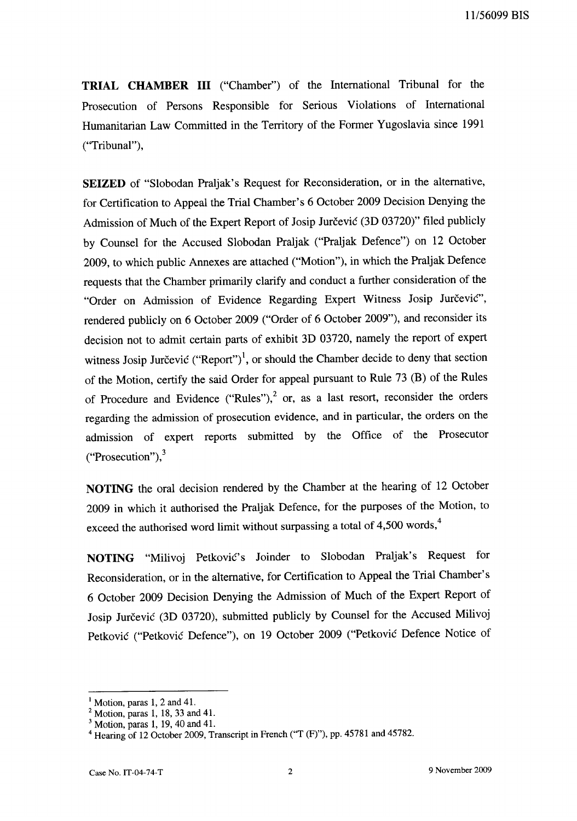11156099 BIS

**TRIAL CHAMBER III** ("Chamber") of the International Tribunal for the Prosecution of Persons Responsible for Serious Violations of International Humanitarian Law Committed in the Territory of the Former Yugoslavia since 1991 ("Tribunal"),

**SEIZED** of "Slobodan Praljak's Request for Reconsideration, or in the alternative, for Certification to Appeal the Trial Chamber's 6 October 2009 Decision Denying the Admission of Much of the Expert Report of Josip Jurčević (3D 03720)" filed publicly by Counsel for the Accused Slobodan Praljak ("Praljak Defence") on 12 October 2009, to which public Annexes are attached ("Motion"), in which the Praljak Defence requests that the Chamber primarily clarify and conduct a further consideration of the "Order on Admission of Evidence Regarding Expert Witness Josip Jurčević", rendered publicly on 6 October 2009 ("Order of 6 October 2009"), and reconsider its decision not to admit certain parts of exhibit 3D 03720, namely the report of expert witness Josip Jurčević ("Report")<sup>1</sup>, or should the Chamber decide to deny that section of the Motion, certify the said Order for appeal pursuant to Rule 73 (B) of the Rules of Procedure and Evidence ("Rules"), $^2$  or, as a last resort, reconsider the orders regarding the admission of prosecution evidence, and in particular, the orders on the admission of expert reports submitted by the Office of the Prosecutor ("Prosecution"), $3$ 

**NOTING** the oral decision rendered by the Chamber at the hearing of 12 October 2009 in which it authorised the Praljak Defence, for the purposes of the Motion, to exceed the authorised word limit without surpassing a total of 4,500 words,<sup>4</sup>

NOTING "Milivoj Petković's Joinder to Slobodan Praljak's Request for Reconsideration, or in the alternative, for Certification to Appeal the Trial Chamber's 6 October 2009 Decision Denying the Admission of Much of the Expert Report of Josip Jurčević (3D 03720), submitted publicly by Counsel for the Accused Milivoj Petkovic ("Petkovic Defence"), on 19 October 2009 ("Petkovic Defence Notice of

 $<sup>1</sup>$  Motion, paras 1, 2 and 41.</sup>

 $2$  Motion, paras 1, 18, 33 and 41.

 $3$  Motion, paras 1, 19, 40 and 41.

<sup>&</sup>lt;sup>4</sup> Hearing of 12 October 2009, Transcript in French ("T (F)"), pp. 45781 and 45782.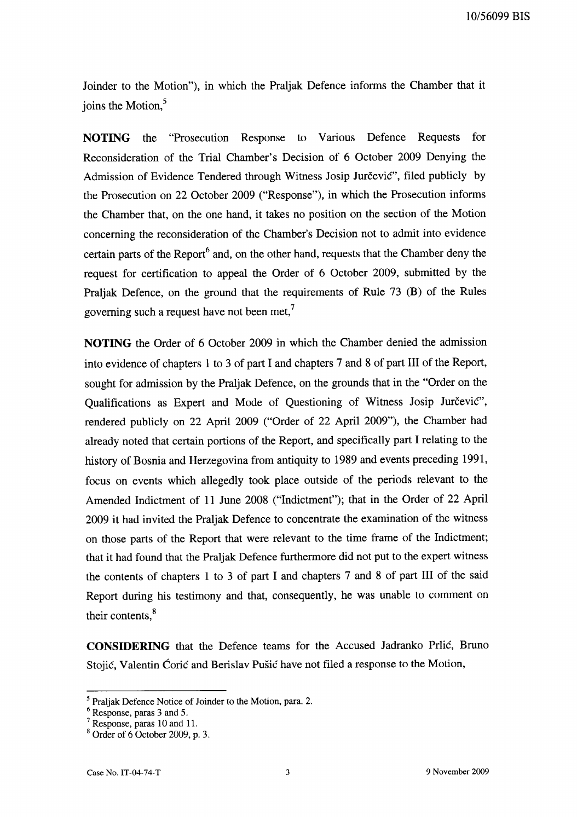Joinder to the Motion"), in which the Praljak Defence informs the Chamber that it joins the Motion,<sup>5</sup>

NOTING the "Prosecution Response to Various Defence Requests for Reconsideration of the Trial Chamber's Decision of 6 October 2009 Denying the Admission of Evidence Tendered through Witness Josip Jurčević", filed publicly by the Prosecution on 22 October 2009 ("Response"), in which the Prosecution infonns the Chamber that, on the one hand, it takes no position on the section of the Motion concerning the reconsideration of the Chamber's Decision not to admit into evidence certain parts of the Report<sup>6</sup> and, on the other hand, requests that the Chamber deny the request for certification to appeal the Order of 6 October 2009, submitted by the Praljak Defence, on the ground that the requirements of Rule 73 (B) of the Rules governing such a request have not been met.<sup>7</sup>

NOTING the Order of 6 October 2009 in which the Chamber denied the admission into evidence of chapters 1 to 3 of part I and chapters 7 and 8 of part III of the Report, sought for admission by the Praljak Defence, on the grounds that in the "Order on the Qualifications as Expert and Mode of Questioning of Witness Josip Jurčević", rendered publicly on 22 April 2009 ("Order of 22 April 2009"), the Chamber had already noted that certain portions of the Report, and specifically part I relating to the history of Bosnia and Herzegovina from antiquity to 1989 and events preceding 1991, focus on events which allegedly took place outside of the periods relevant to the Amended Indictment of 11 June 2008 ("Indictment"); that in the Order of 22 April 2009 it had invited the Praljak Defence to concentrate the examination of the witness on those parts of the Report that were relevant to the time frame of the Indictment; that it had found that the Praljak Defence furthermore did not put to the expert witness the contents of chapters 1 to 3 of part I and chapters 7 and 8 of part III of the said Report during his testimony and that, consequently, he was unable to comment on their contents,<sup>8</sup>

CONSIDERING that the Defence teams for the Accused Jadranko Prlić, Bruno Stojić, Valentin Ćorić and Berislav Pušić have not filed a response to the Motion,

 $<sup>5</sup>$  Praljak Defence Notice of Joinder to the Motion, para. 2.</sup>

<sup>6</sup> Response, paras 3 and 5.

 $<sup>7</sup>$  Response, paras 10 and 11.</sup>

 $8$  Order of 6 October 2009, p. 3.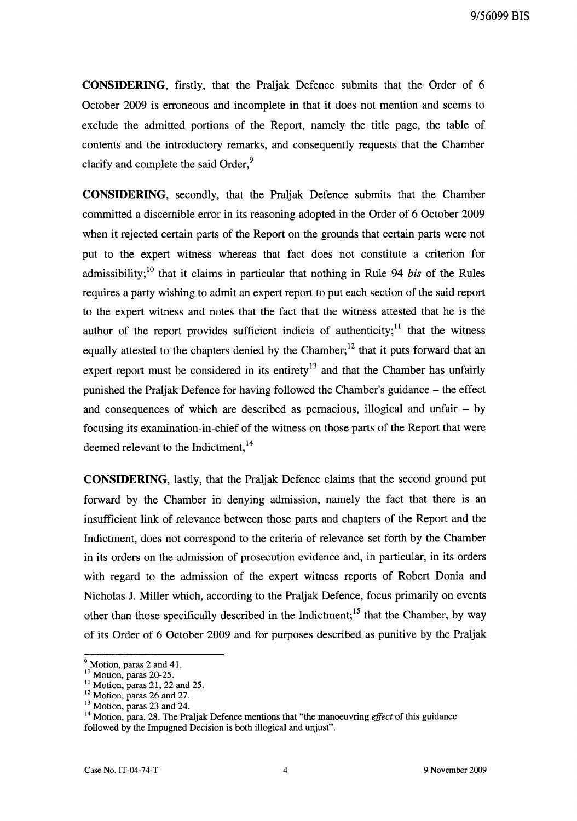**CONSIDERING,** firstly, that the Praljak Defence submits that the Order of 6 October 2009 is erroneous and incomplete in that it does not mention and seems to exclude the admitted portions of the Report, namely the title page, the table of contents and the introductory remarks, and consequently requests that the Chamber clarify and complete the said Order,<sup>9</sup>

**CONSIDERING,** secondly, that the Praljak Defence submits that the Chamber committed a discernible error in its reasoning adopted in the Order of 6 October 2009 when it rejected certain parts of the Report on the grounds that certain parts were not put to the expert witness whereas that fact does not constitute a criterion for admissibility;<sup>10</sup> that it claims in particular that nothing in Rule 94 *bis* of the Rules requires a party wishing to admit an expert report to put each section of the said report to the expert witness and notes that the fact that the witness attested that he is the author of the report provides sufficient indicia of authenticity;<sup>11</sup> that the witness equally attested to the chapters denied by the Chamber;<sup>12</sup> that it puts forward that an expert report must be considered in its entirety<sup>13</sup> and that the Chamber has unfairly punished the PraIjak Defence for having followed the Chamber's guidance - the effect and consequences of which are described as pernacious, illogical and unfair  $-$  by focusing its examination-in-chief of the witness on those parts of the Report that were deemed relevant to the Indictment,<sup>14</sup>

**CONSIDERING,** lastly, that the Praljak Defence claims that the second ground put forward by the Chamber in denying admission, namely the fact that there is an insufficient link of relevance between those parts and chapters of the Report and the Indictment, does not correspond to the criteria of relevance set forth by the Chamber in its orders on the admission of prosecution evidence and, in particular, in its orders with regard to the admission of the expert witness reports of Robert Donia and Nicholas 1. Miller which, according to the Praljak Defence, focus primarily on events other than those specifically described in the Indictment;  $15$  that the Chamber, by way of its Order of 6 October 2009 and for purposes described as punitive by the Praljak

<sup>&</sup>lt;sup>9</sup> Motion, paras 2 and 41.

 $\frac{10}{2}$  Motion, paras 20-25.

 $11$  Motion, paras 21, 22 and 25.

 $12$  Motion, paras 26 and 27.

 $13$  Motion, paras 23 and 24.

<sup>14</sup> Motion, para. 28. The Praljak Defence mentions that "the manoeuvring *effect* of this guidance followed by the Impugned Decision is both illogical and unjust".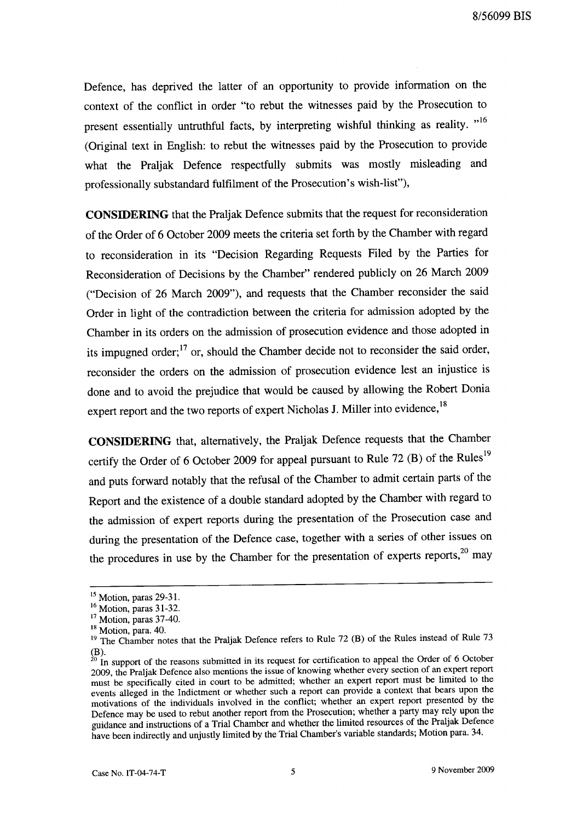Defence, has deprived the latter of an opportunity to provide information on the context of the conflict in order "to rebut the witnesses paid by the Prosecution to present essentially untruthful facts, by interpreting wishful thinking as reality. "<sup>16</sup> (Original text in English: to rebut the witnesses paid by the Prosecution to provide what the Praljak Defence respectfully submits was mostly misleading and professionally substandard fulfilment of the Prosecution's wish-list"),

**CONSIDERING** that the Praljak Defence submits that the request for reconsideration of the Order of 6 October 2009 meets the criteria set forth by the Chamber with regard to reconsideration in its "Decision Regarding Requests Filed by the Parties for Reconsideration of Decisions by the Chamber" rendered publicly on 26 March 2009 ("Decision of 26 March 2009"), and requests that the Chamber reconsider the said Order in light of the contradiction between the criteria for admission adopted by the Chamber in its orders on the admission of prosecution evidence and those adopted in its impugned order;  $17$  or, should the Chamber decide not to reconsider the said order, reconsider the orders on the admission of prosecution evidence lest an injustice is done and to avoid the prejudice that would be caused by allowing the Robert Donia expert report and the two reports of expert Nicholas J. Miller into evidence,<sup>18</sup>

**CONSIDERING** that, alternatively, the Praljak Defence requests that the Chamber certify the Order of 6 October 2009 for appeal pursuant to Rule 72  $(B)$  of the Rules<sup>19</sup> and puts forward notably that the refusal of the Chamber to admit certain parts of the Report and the existence of a double standard adopted by the Chamber with regard to the admission of expert reports during the presentation of the Prosecution case and during the presentation of the Defence case, together with a series of other issues on the procedures in use by the Chamber for the presentation of experts reports, $20$  may

<sup>15</sup> Motion, paras 29-31.

<sup>&</sup>lt;sup>16</sup> Motion, paras 31-32.

<sup>&</sup>lt;sup>17</sup> Motion, paras 37-40.

<sup>18</sup> Motion, para. 40.

<sup>&</sup>lt;sup>19</sup> The Chamber notes that the Praljak Defence refers to Rule 72 (B) of the Rules instead of Rule 73  $(B)$ .

 $^{20}$  In support of the reasons submitted in its request for certification to appeal the Order of 6 October 2009, the Praljak Defence also mentions the issue of knowing whether every section of an expert report must be specifically cited in court to be admitted; whether an expert report must be limited to the events alleged in the Indictment or whether such a report can provide a context that bears upon the motivations of the individuals involved in the conflict; whether an expert report presented by the Defence may be used to rebut another report from the Prosecution; whether a party may rely upon the guidance and instructions of a Trial Chamber and whether the limited resources of the Praljak Defence have been indirectly and unjustly limited by the Trial Chamber's variable standards; Motion para. 34.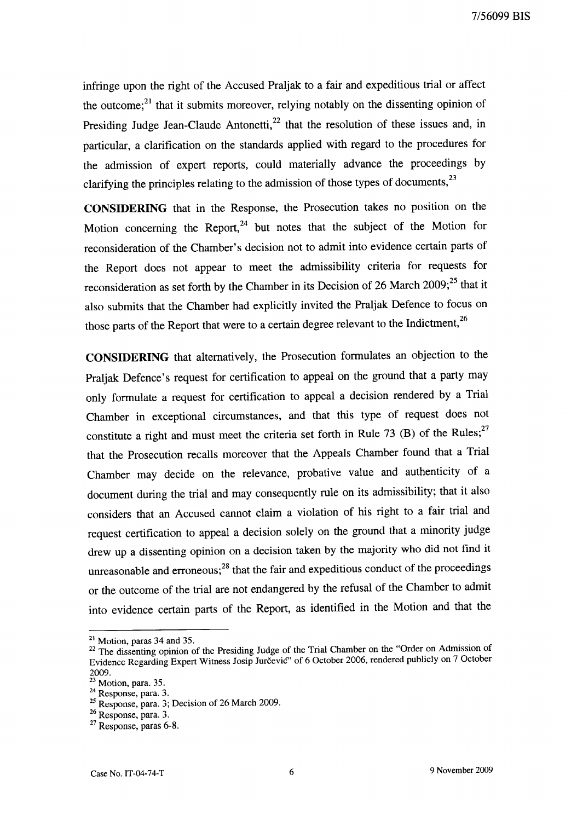infringe upon the right of the Accused Praljak to a fair and expeditious trial or affect the outcome; $^{21}$  that it submits moreover, relying notably on the dissenting opinion of Presiding Judge Jean-Claude Antonetti,<sup>22</sup> that the resolution of these issues and, in particular, a clarification on the standards applied with regard to the procedures for the admission of expert reports, could materially advance the proceedings by clarifying the principles relating to the admission of those types of documents,<sup>23</sup>

**CONSIDERING** that in the Response, the Prosecution takes no position on the Motion concerning the Report, $24$  but notes that the subject of the Motion for reconsideration of the Chamber's decision not to admit into evidence certain parts of the Report does not appear to meet the admissibility criteria for requests for reconsideration as set forth by the Chamber in its Decision of 26 March  $2009$ ;<sup>25</sup> that it also submits that the Chamber had explicitly invited the Praljak Defence to focus on those parts of the Report that were to a certain degree relevant to the Indictment,<sup>26</sup>

**CONSIDERING** that alternatively, the Prosecution formulates an objection to the Praljak Defence's request for certification to appeal on the ground that a party may only formulate a request for certification to appeal a decision rendered by a Trial Chamber in exceptional circumstances, and that this type of request does not constitute a right and must meet the criteria set forth in Rule 73 (B) of the Rules;<sup>27</sup> that the Prosecution recalls moreover that the Appeals Chamber found that a Trial Chamber may decide on the relevance, probative value and authenticity of a document during the trial and may consequently rule on its admissibility; that it also considers that an Accused cannot claim a violation of his right to a fair trial and request certification to appeal a decision solely on the ground that a minority judge drew up a dissenting opinion on a decision taken by the majority who did not find it unreasonable and erroneous; $^{28}$  that the fair and expeditious conduct of the proceedings or the outcome of the trial are not endangered by the refusal of the Chamber to admit into evidence certain parts of the Report, as identified in the Motion and that the

 $21$  Motion, paras 34 and 35.

<sup>&</sup>lt;sup>22</sup> The dissenting opinion of the Presiding Judge of the Trial Chamber on the "Order on Admission of Evidence Regarding Expert Witness Josip Jurcevic" of 6 October 2006, rendered publicly on 7 October 2009.

 $23$  Motion, para. 35.

 $24$  Response, para. 3.

 $25$  Response, para. 3; Decision of 26 March 2009.

<sup>26</sup> Response, para. 3.

<sup>&</sup>lt;sup>27</sup> Response, paras 6-8.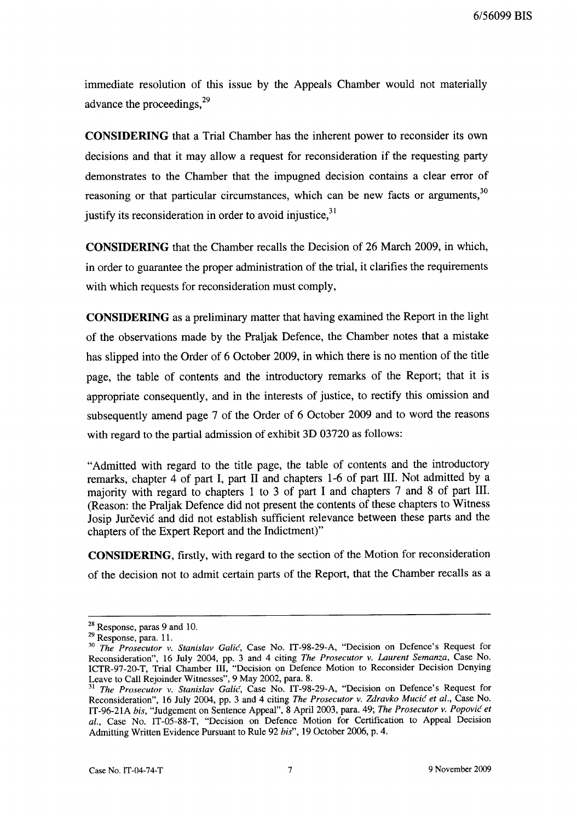immediate resolution of this issue by the Appeals Chamber would not materially advance the proceedings.<sup>29</sup>

**CONSIDERING** that a Trial Chamber has the inherent power to reconsider its own decisions and that it may allow a request for reconsideration if the requesting party demonstrates to the Chamber that the impugned decision contains a clear error of reasoning or that particular circumstances, which can be new facts or arguments,  $30$ justify its reconsideration in order to avoid injustice,  $31$ 

**CONSIDERING** that the Chamber recalls the Decision of 26 March 2009, in which, in order to guarantee the proper administration of the trial, it clarifies the requirements with which requests for reconsideration must comply,

**CONSIDERING** as a preliminary matter that having examined the Report in the light of the observations made by the Praljak Defence, the Chamber notes that a mistake has slipped into the Order of 6 October 2009, in which there is no mention of the title page, the table of contents and the introductory remarks of the Report; that it is appropriate consequently, and in the interests of justice, to rectify this omission and subsequently amend page 7 of the Order of 6 October 2009 and to word the reasons with regard to the partial admission of exhibit 3D 03720 as follows:

"Admitted with regard to the title page, the table of contents and the introductory remarks, chapter 4 of part I, part 11 and chapters 1-6 of part Ill. Not admitted by a majority with regard to chapters 1 to 3 of part I and chapters 7 and 8 of part **Ill.**  (Reason: the Praljak Defence did not present the contents of these chapters to Witness Josip Jurčević and did not establish sufficient relevance between these parts and the chapters of the Expert Report and the Indictment)"

**CONSIDERING,** firstly, with regard to the section of the Motion for reconsideration of the decision not to admit certain parts of the Report, that the Chamber recalls as a

<sup>28</sup> Response, paras 9 and 10.

<sup>29</sup> Response, para. 11.

*<sup>30</sup> The Prosecutor* v. *Stanislav Galic,* Case No. IT-98-29-A, "Decision on Defence's Request for Reconsideration", 16 July 2004, pp. 3 and 4 citing *The Prosecutor* v. *Laurent Semanza,* Case No. ICTR-97-20-T, Trial Chamber Ill, "Decision on Defence Motion to Reconsider Decision Denying Leave to Call Rejoinder Witnesses", 9 May 2002, para. 8.

<sup>31</sup>*The Prosecutor* v. *Stanislav Galic,* Case No. IT-98-29-A, "Decision on Defence's Request for Reconsideration", 16 July 2004, pp. 3 and 4 citing *The Prosecutor* v. *Zdravko Mucic et al.,* Case No. IT-96-21A *his,* "Judgement on Sentence Appeal", 8 April 2003, para. 49; *The Prosecutor* v. *Popovic et al.,* Case No. IT-05-88-T, "Decision on Defence Motion for Certification to Appeal Decision Admitting Written Evidence Pursuant to Rule 92 *his",* 19 October 2006, p. 4.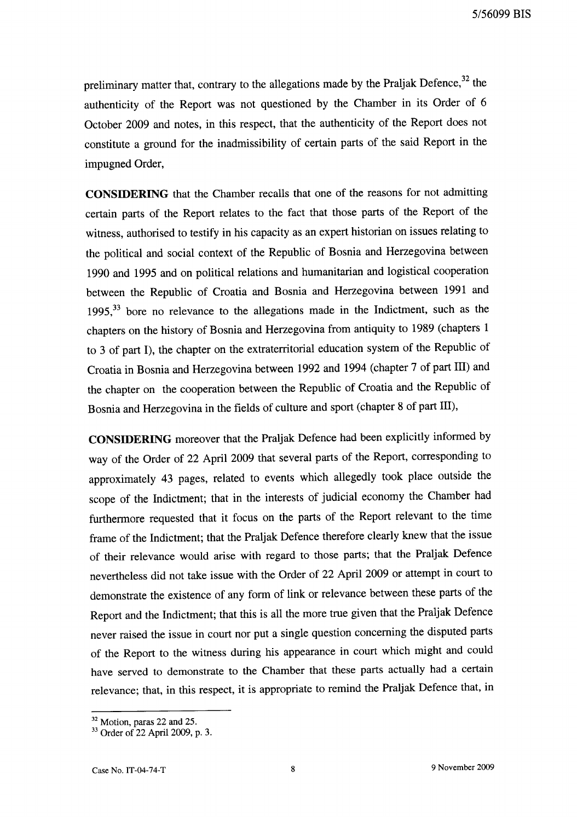preliminary matter that, contrary to the allegations made by the Praljak Defence, $32$  the authenticity of the Report was not questioned by the Chamber in its Order of 6 October 2009 and notes, in this respect, that the authenticity of the Report does not constitute a ground for the inadmissibility of certain parts of the said Report in the impugned Order,

**CONSIDERING** that the Chamber recalls that one of the reasons for not admitting certain parts of the Report relates to the fact that those parts of the Report of the witness, authorised to testify in his capacity as an expert historian on issues relating to the political and social context of the Republic of Bosnia and Herzegovina between 1990 and 1995 and on political relations and humanitarian and logistical cooperation between the Republic of Croatia and Bosnia and Herzegovina between 1991 and 1995,<sup>33</sup> bore no relevance to the allegations made in the Indictment, such as the chapters on the history of Bosnia and Herzegovina from antiquity to 1989 (chapters 1 to 3 of part I), the chapter on the extraterritorial education system of the Republic of Croatia in Bosnia and Herzegovina between 1992 and 1994 (chapter 7 of part Ill) and the chapter on the cooperation between the Republic of Croatia and the Republic of Bosnia and Herzegovina in the fields of culture and sport (chapter 8 of part Ill),

**CONSIDERING** moreover that the Praljak Defence had been explicitly informed by way of the Order of 22 April 2009 that several parts of the Report, corresponding to approximately 43 pages, related to events which allegedly took place outside the scope of the Indictment; that in the interests of judicial economy the Chamber had furthermore requested that it focus on the parts of the Report relevant to the time frame of the Indictment; that the Praljak Defence therefore clearly knew that the issue of their relevance would arise with regard to those parts; that the Praljak Defence nevertheless did not take issue with the Order of 22 April 2009 or attempt in court to demonstrate the existence of any form of link or relevance between these parts of the Report and the Indictment; that this is all the more true given that the Praljak Defence never raised the issue in court nor put a single question concerning the disputed parts of the Report to the witness during his appearance in court which might and could have served to demonstrate to the Chamber that these parts actually had a certain relevance; that, in this respect, it is appropriate to remind the Praljak Defence that, in

<sup>&</sup>lt;sup>32</sup> Motion, paras 22 and 25.

<sup>33</sup> Order of 22 April 2009, p. 3.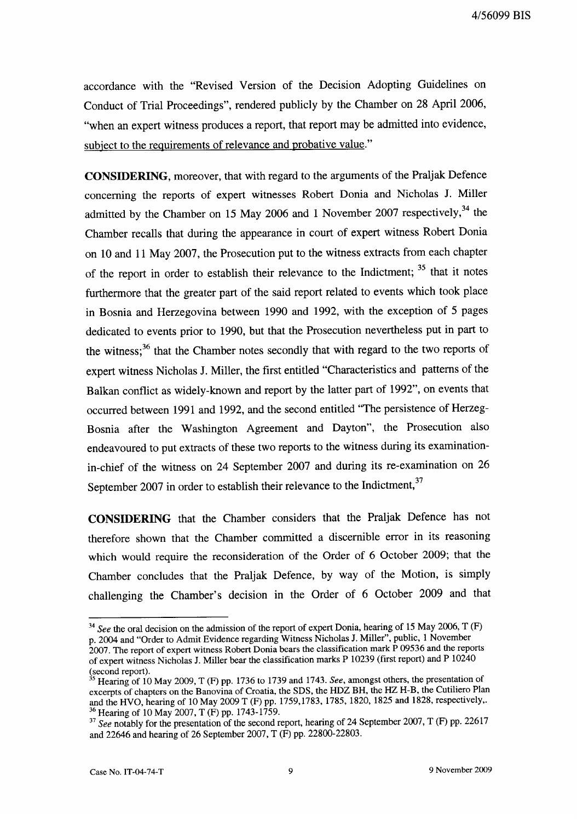accordance with the "Revised Version of the Decision Adopting Guidelines on Conduct of Trial Proceedings", rendered publicly by the Chamber on 28 April 2006, "when an expert witness produces a report, that report may be admitted into evidence, subject to the requirements of relevance and probative value."

**CONSIDERING,** moreover, that with regard to the arguments of the Praljak Defence concerning the reports of expert witnesses Robert Donia and Nicholas J. Miller admitted by the Chamber on 15 May 2006 and 1 November 2007 respectively, $34$  the Chamber recalls that during the appearance in court of expert witness Robert Donia on 10 and 11 May 2007, the Prosecution put to the witness extracts from each chapter of the report in order to establish their relevance to the Indictment; <sup>35</sup> that it notes furthermore that the greater part of the said report related to events which took place in Bosnia and Herzegovina between 1990 and 1992, with the exception of 5 pages dedicated to events prior to 1990, but that the Prosecution nevertheless put in part to the witness;<sup>36</sup> that the Chamber notes secondly that with regard to the two reports of expert witness Nicholas J. Miller, the first entitled "Characteristics and patterns of the Balkan conflict as widely-known and report by the latter part of 1992", on events that occurred between 1991 and 1992, and the second entitled "The persistence of Herzeg-Bosnia after the Washington Agreement and Dayton", the Prosecution also endeavoured to put extracts of these two reports to the witness during its examinationin-chief of the witness on 24 September 2007 and during its re-examination on 26 September 2007 in order to establish their relevance to the Indictment,<sup>37</sup>

**CONSIDERING** that the Chamber considers that the Praljak Defence has not therefore shown that the Chamber committed a discernible error in its reasoning which would require the reconsideration of the Order of 6 October 2009; that the Chamber concludes that the Praljak Defence, by way of the Motion, is simply challenging the Chamber's decision in the Order of 6 October 2009 and that

*<sup>34</sup> See* the oral decision on the admission of the report of expert Donia, hearing of 15 May 2006, T (F) p. 2004 and "Order to Admit Evidence regarding Witness Nicholas J. Miller", public, 1 November

<sup>2007.</sup> The report of expert witness Robert Donia bears the classification mark P 09536 and the reports of expert witness Nicholas J. Miller bear the classification marks P 10239 (first report) and P 10240  $\frac{1}{35}$  (second report).

 $\frac{3}{5}$  Hearing of 10 May 2009, T (F) pp. 1736 to 1739 and 1743. *See*, amongst others, the presentation of excerpts of chapters on the Banovina of Croatia, the SDS, the HDZ BH, the HZ H-B, the Cutiliero Plan and the HVO, hearing of 10 May 2009 T (F) pp. 1759,1783, 1785, 1820, 1825 and 1828, respectively,. 36 Hearing of 10 May 2007, T (F) pp. 1743-1759.

<sup>&</sup>lt;sup>37</sup> See notably for the presentation of the second report, hearing of 24 September 2007, T (F) pp. 22617 and 22646 and hearing of 26 September 2007, T (F) pp. 22800-22803.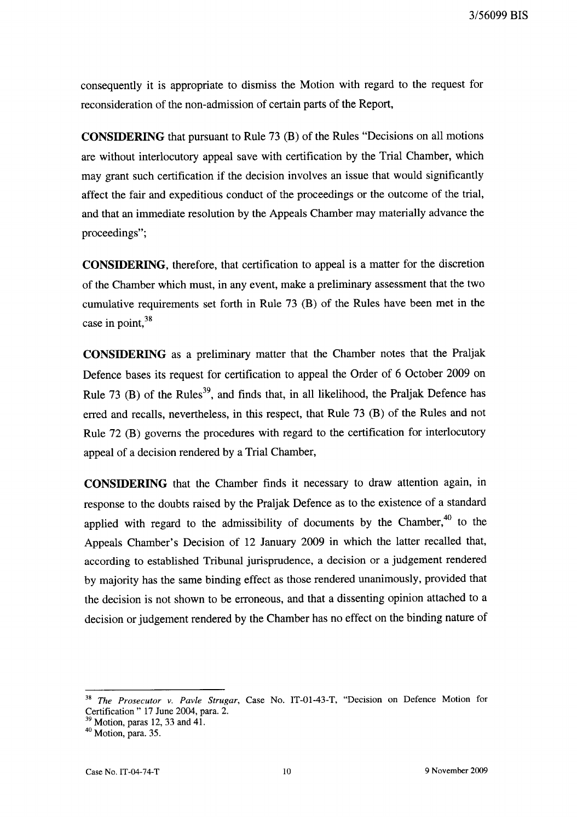consequently it is appropriate to dismiss the Motion with regard to the request for reconsideration of the non-admission of certain parts of the Report,

**CONSIDERING** that pursuant to Rule 73 (B) of the Rules "Decisions on all motions are without interlocutory appeal save with certification by the Trial Chamber, which may grant such certification if the decision involves an issue that would significantly affect the fair and expeditious conduct of the proceedings or the outcome of the trial, and that an immediate resolution by the Appeals Chamber may materially advance the proceedings";

**CONSIDERING,** therefore, that certification to appeal is a matter for the discretion of the Chamber which must, in any event, make a preliminary assessment that the two cumulative requirements set forth in Rule 73 (B) of the Rules have been met in the case in point,  $38$ 

**CONSIDERING** as a preliminary matter that the Chamber notes that the Praljak Defence bases its request for certification to appeal the Order of 6 October 2009 on Rule 73 (B) of the Rules<sup>39</sup>, and finds that, in all likelihood, the Praljak Defence has erred and recalls, nevertheless, in this respect, that Rule 73 (B) of the Rules and not Rule 72 (B) governs the procedures with regard to the certification for interlocutory appeal of a decision rendered by a Trial Chamber,

**CONSIDERING** that the Chamber finds it necessary to draw attention again, in response to the doubts raised by the Praljak Defence as to the existence of a standard applied with regard to the admissibility of documents by the Chamber, $40$  to the Appeals Chamber's Decision of 12 January 2009 in which the latter recalled that, according to established Tribunal jurisprudence, a decision or a judgement rendered by majority has the same binding effect as those rendered unanimously, provided that the decision is not shown to be erroneous, and that a dissenting opinion attached to a decision or judgement rendered by the Chamber has no effect on the binding nature of

<sup>38</sup>*The Prosecutor v. Pavle Strugar,* Case No. IT-01-43-T, "Decision on Defence Motion for Certification" 17 June 2004, para. 2.

 $39$  Motion, paras 12, 33 and 41.

 $40$  Motion, para. 35.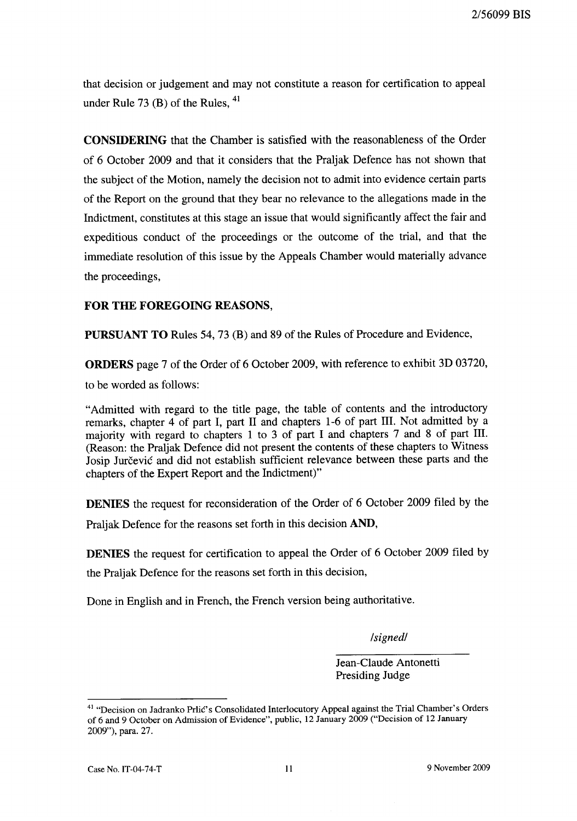that decision or judgement and may not constitute a reason for certification to appeal under Rule 73 $(B)$  of the Rules,  $41$ 

CONSIDERING that the Chamber is satisfied with the reasonableness of the Order of 6 October 2009 and that it considers that the Praljak Defence has not shown that the subject of the Motion, namely the decision not to admit into evidence certain parts of the Report on the ground that they bear no relevance to the allegations made in the Indictment, constitutes at this stage an issue that would significantly affect the fair and expeditious conduct of the proceedings or the outcome of the trial, and that the immediate resolution of this issue by the Appeals Chamber would materially advance the proceedings,

## FOR THE FOREGOING REASONS,

PURSUANT TO Rules 54, 73 (B) and 89 of the Rules of Procedure and Evidence,

ORDERS page 7 of the Order of 6 October 2009, with reference to exhibit 3D 03720,

to be worded as follows:

"Admitted with regard to the title page, the table of contents and the introductory remarks, chapter 4 of part I, part Il and chapters 1-6 of part Ill. Not admitted by a majority with regard to chapters 1 to 3 of part I and chapters 7 and 8 of part Ill. (Reason: the Praljak Defence did not present the contents of these chapters to Witness Josip Jurčević and did not establish sufficient relevance between these parts and the chapters of the Expert Report and the Indictment)"

DENIES the request for reconsideration of the Order of 6 October 2009 filed by the

Praljak Defence for the reasons set forth in this decision AND,

DENIES the request for certification to appeal the Order of 6 October 2009 filed by the Praljak Defence for the reasons set forth in this decision,

Done in English and in French, the French version being authoritative.

*Isignedl* 

Jean-Claude Antonetti Presiding Judge

<sup>&</sup>lt;sup>41</sup> "Decision on Jadranko Prlić's Consolidated Interlocutory Appeal against the Trial Chamber's Orders of 6 and 9 October on Admission of Evidence", public, 12 January 2009 ("Decision of 12 January 2009"), para. 27.